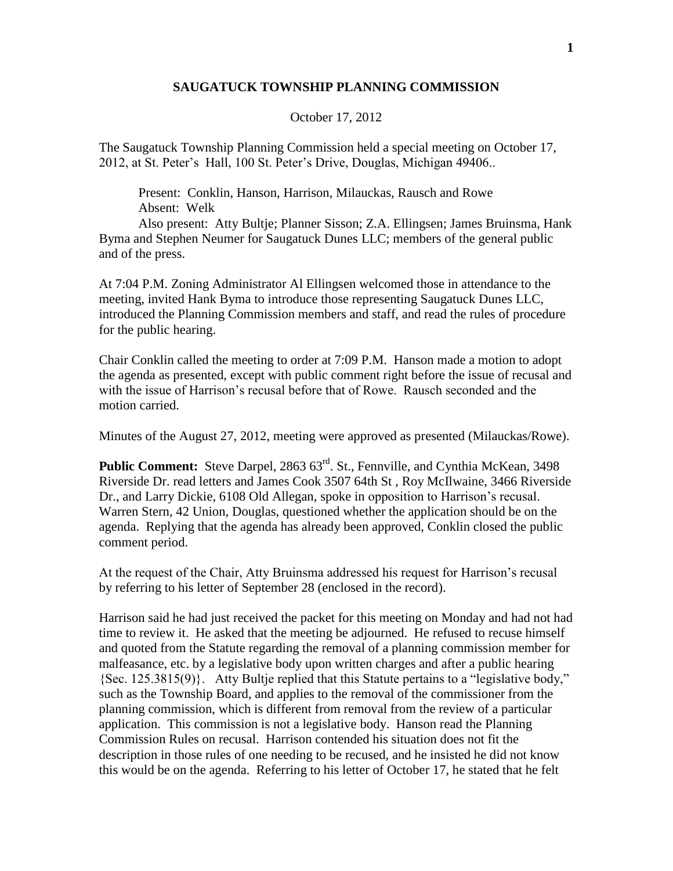## **SAUGATUCK TOWNSHIP PLANNING COMMISSION**

## October 17, 2012

The Saugatuck Township Planning Commission held a special meeting on October 17, 2012, at St. Peter's Hall, 100 St. Peter's Drive, Douglas, Michigan 49406..

Present: Conklin, Hanson, Harrison, Milauckas, Rausch and Rowe Absent: Welk

Also present: Atty Bultje; Planner Sisson; Z.A. Ellingsen; James Bruinsma, Hank Byma and Stephen Neumer for Saugatuck Dunes LLC; members of the general public and of the press.

At 7:04 P.M. Zoning Administrator Al Ellingsen welcomed those in attendance to the meeting, invited Hank Byma to introduce those representing Saugatuck Dunes LLC, introduced the Planning Commission members and staff, and read the rules of procedure for the public hearing.

Chair Conklin called the meeting to order at 7:09 P.M. Hanson made a motion to adopt the agenda as presented, except with public comment right before the issue of recusal and with the issue of Harrison's recusal before that of Rowe. Rausch seconded and the motion carried.

Minutes of the August 27, 2012, meeting were approved as presented (Milauckas/Rowe).

Public Comment: Steve Darpel, 2863 63<sup>rd</sup>. St., Fennville, and Cynthia McKean, 3498 Riverside Dr. read letters and James Cook 3507 64th St , Roy McIlwaine, 3466 Riverside Dr., and Larry Dickie, 6108 Old Allegan, spoke in opposition to Harrison's recusal. Warren Stern, 42 Union, Douglas, questioned whether the application should be on the agenda. Replying that the agenda has already been approved, Conklin closed the public comment period.

At the request of the Chair, Atty Bruinsma addressed his request for Harrison's recusal by referring to his letter of September 28 (enclosed in the record).

Harrison said he had just received the packet for this meeting on Monday and had not had time to review it. He asked that the meeting be adjourned. He refused to recuse himself and quoted from the Statute regarding the removal of a planning commission member for malfeasance, etc. by a legislative body upon written charges and after a public hearing {Sec. 125.3815(9)}. Atty Bultje replied that this Statute pertains to a "legislative body," such as the Township Board, and applies to the removal of the commissioner from the planning commission, which is different from removal from the review of a particular application. This commission is not a legislative body. Hanson read the Planning Commission Rules on recusal. Harrison contended his situation does not fit the description in those rules of one needing to be recused, and he insisted he did not know this would be on the agenda. Referring to his letter of October 17, he stated that he felt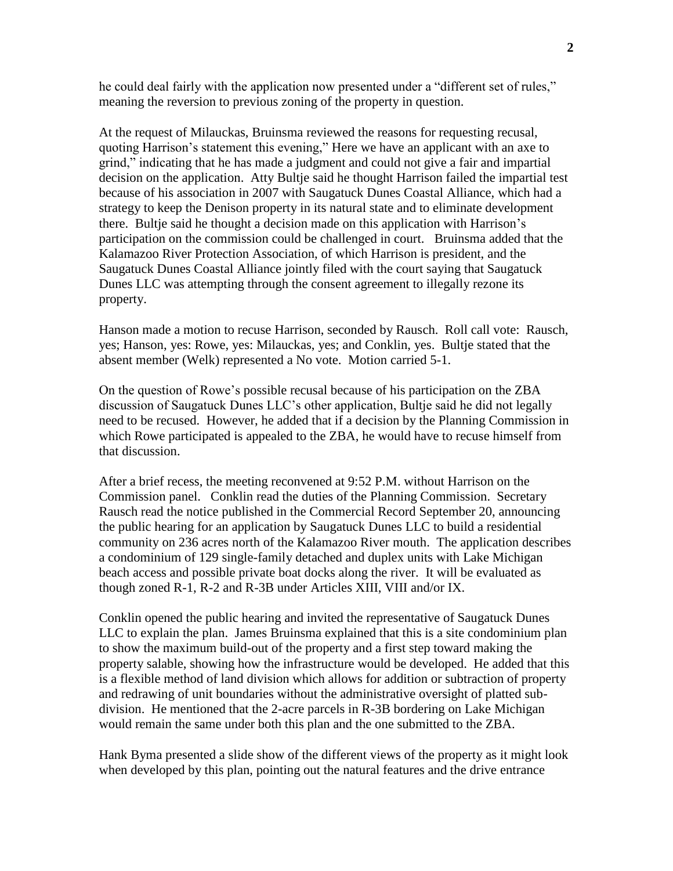he could deal fairly with the application now presented under a "different set of rules," meaning the reversion to previous zoning of the property in question.

At the request of Milauckas, Bruinsma reviewed the reasons for requesting recusal, quoting Harrison's statement this evening," Here we have an applicant with an axe to grind," indicating that he has made a judgment and could not give a fair and impartial decision on the application. Atty Bultje said he thought Harrison failed the impartial test because of his association in 2007 with Saugatuck Dunes Coastal Alliance, which had a strategy to keep the Denison property in its natural state and to eliminate development there. Bultje said he thought a decision made on this application with Harrison's participation on the commission could be challenged in court. Bruinsma added that the Kalamazoo River Protection Association, of which Harrison is president, and the Saugatuck Dunes Coastal Alliance jointly filed with the court saying that Saugatuck Dunes LLC was attempting through the consent agreement to illegally rezone its property.

Hanson made a motion to recuse Harrison, seconded by Rausch. Roll call vote: Rausch, yes; Hanson, yes: Rowe, yes: Milauckas, yes; and Conklin, yes. Bultje stated that the absent member (Welk) represented a No vote. Motion carried 5-1.

On the question of Rowe's possible recusal because of his participation on the ZBA discussion of Saugatuck Dunes LLC's other application, Bultje said he did not legally need to be recused. However, he added that if a decision by the Planning Commission in which Rowe participated is appealed to the ZBA, he would have to recuse himself from that discussion.

After a brief recess, the meeting reconvened at 9:52 P.M. without Harrison on the Commission panel. Conklin read the duties of the Planning Commission. Secretary Rausch read the notice published in the Commercial Record September 20, announcing the public hearing for an application by Saugatuck Dunes LLC to build a residential community on 236 acres north of the Kalamazoo River mouth. The application describes a condominium of 129 single-family detached and duplex units with Lake Michigan beach access and possible private boat docks along the river. It will be evaluated as though zoned R-1, R-2 and R-3B under Articles XIII, VIII and/or IX.

Conklin opened the public hearing and invited the representative of Saugatuck Dunes LLC to explain the plan. James Bruinsma explained that this is a site condominium plan to show the maximum build-out of the property and a first step toward making the property salable, showing how the infrastructure would be developed. He added that this is a flexible method of land division which allows for addition or subtraction of property and redrawing of unit boundaries without the administrative oversight of platted subdivision. He mentioned that the 2-acre parcels in R-3B bordering on Lake Michigan would remain the same under both this plan and the one submitted to the ZBA.

Hank Byma presented a slide show of the different views of the property as it might look when developed by this plan, pointing out the natural features and the drive entrance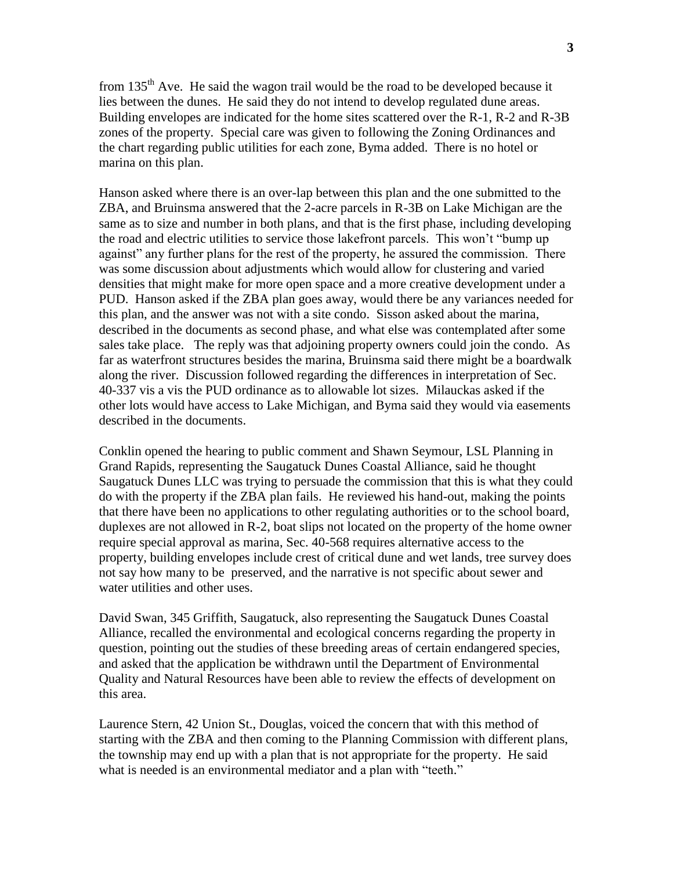from  $135<sup>th</sup>$  Ave. He said the wagon trail would be the road to be developed because it lies between the dunes. He said they do not intend to develop regulated dune areas. Building envelopes are indicated for the home sites scattered over the R-1, R-2 and R-3B zones of the property. Special care was given to following the Zoning Ordinances and the chart regarding public utilities for each zone, Byma added. There is no hotel or marina on this plan.

Hanson asked where there is an over-lap between this plan and the one submitted to the ZBA, and Bruinsma answered that the 2-acre parcels in R-3B on Lake Michigan are the same as to size and number in both plans, and that is the first phase, including developing the road and electric utilities to service those lakefront parcels. This won't "bump up against" any further plans for the rest of the property, he assured the commission. There was some discussion about adjustments which would allow for clustering and varied densities that might make for more open space and a more creative development under a PUD. Hanson asked if the ZBA plan goes away, would there be any variances needed for this plan, and the answer was not with a site condo. Sisson asked about the marina, described in the documents as second phase, and what else was contemplated after some sales take place. The reply was that adjoining property owners could join the condo. As far as waterfront structures besides the marina, Bruinsma said there might be a boardwalk along the river. Discussion followed regarding the differences in interpretation of Sec. 40-337 vis a vis the PUD ordinance as to allowable lot sizes. Milauckas asked if the other lots would have access to Lake Michigan, and Byma said they would via easements described in the documents.

Conklin opened the hearing to public comment and Shawn Seymour, LSL Planning in Grand Rapids, representing the Saugatuck Dunes Coastal Alliance, said he thought Saugatuck Dunes LLC was trying to persuade the commission that this is what they could do with the property if the ZBA plan fails. He reviewed his hand-out, making the points that there have been no applications to other regulating authorities or to the school board, duplexes are not allowed in R-2, boat slips not located on the property of the home owner require special approval as marina, Sec. 40-568 requires alternative access to the property, building envelopes include crest of critical dune and wet lands, tree survey does not say how many to be preserved, and the narrative is not specific about sewer and water utilities and other uses.

David Swan, 345 Griffith, Saugatuck, also representing the Saugatuck Dunes Coastal Alliance, recalled the environmental and ecological concerns regarding the property in question, pointing out the studies of these breeding areas of certain endangered species, and asked that the application be withdrawn until the Department of Environmental Quality and Natural Resources have been able to review the effects of development on this area.

Laurence Stern, 42 Union St., Douglas, voiced the concern that with this method of starting with the ZBA and then coming to the Planning Commission with different plans, the township may end up with a plan that is not appropriate for the property. He said what is needed is an environmental mediator and a plan with "teeth."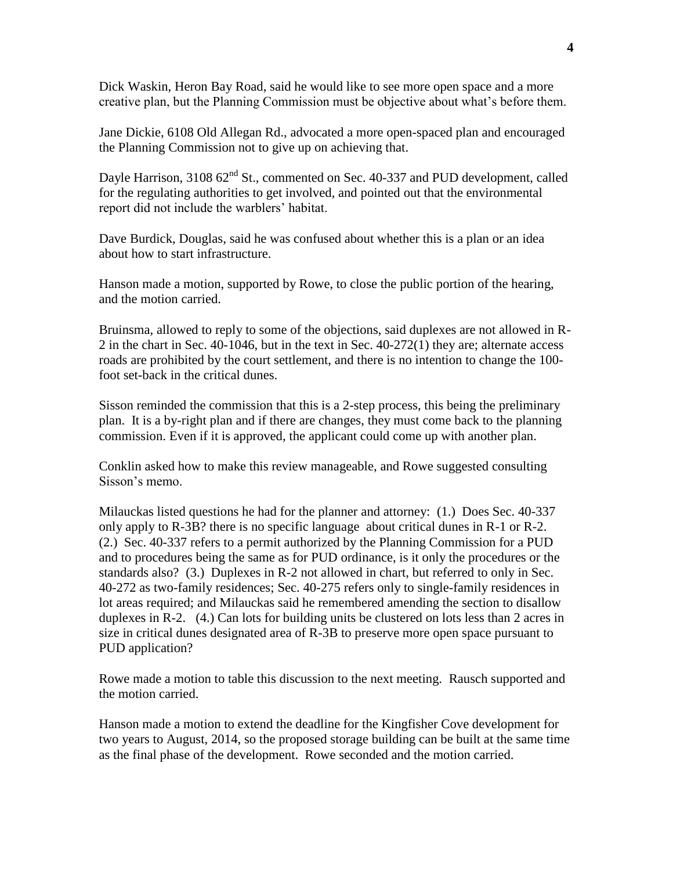Dick Waskin, Heron Bay Road, said he would like to see more open space and a more creative plan, but the Planning Commission must be objective about what's before them.

Jane Dickie, 6108 Old Allegan Rd., advocated a more open-spaced plan and encouraged the Planning Commission not to give up on achieving that.

Dayle Harrison,  $310862<sup>nd</sup>$  St., commented on Sec. 40-337 and PUD development, called for the regulating authorities to get involved, and pointed out that the environmental report did not include the warblers' habitat.

Dave Burdick, Douglas, said he was confused about whether this is a plan or an idea about how to start infrastructure.

Hanson made a motion, supported by Rowe, to close the public portion of the hearing, and the motion carried.

Bruinsma, allowed to reply to some of the objections, said duplexes are not allowed in R-2 in the chart in Sec. 40-1046, but in the text in Sec. 40-272(1) they are; alternate access roads are prohibited by the court settlement, and there is no intention to change the 100 foot set-back in the critical dunes.

Sisson reminded the commission that this is a 2-step process, this being the preliminary plan. It is a by-right plan and if there are changes, they must come back to the planning commission. Even if it is approved, the applicant could come up with another plan.

Conklin asked how to make this review manageable, and Rowe suggested consulting Sisson's memo.

Milauckas listed questions he had for the planner and attorney: (1.) Does Sec. 40-337 only apply to R-3B? there is no specific language about critical dunes in R-1 or R-2. (2.) Sec. 40-337 refers to a permit authorized by the Planning Commission for a PUD and to procedures being the same as for PUD ordinance, is it only the procedures or the standards also? (3.) Duplexes in R-2 not allowed in chart, but referred to only in Sec. 40-272 as two-family residences; Sec. 40-275 refers only to single-family residences in lot areas required; and Milauckas said he remembered amending the section to disallow duplexes in R-2. (4.) Can lots for building units be clustered on lots less than 2 acres in size in critical dunes designated area of R-3B to preserve more open space pursuant to PUD application?

Rowe made a motion to table this discussion to the next meeting. Rausch supported and the motion carried.

Hanson made a motion to extend the deadline for the Kingfisher Cove development for two years to August, 2014, so the proposed storage building can be built at the same time as the final phase of the development. Rowe seconded and the motion carried.